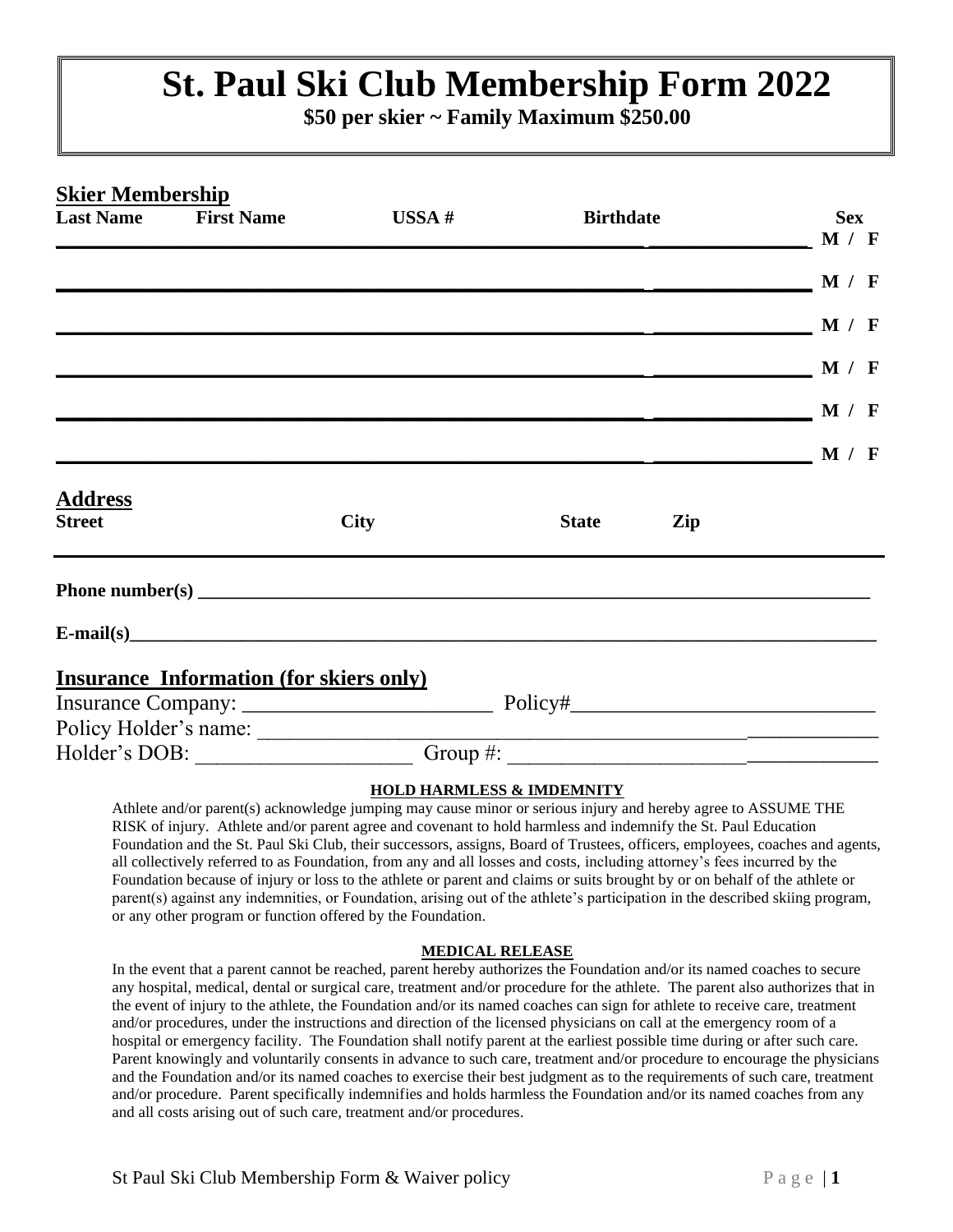# **St. Paul Ski Club Membership Form 2022**

**\$50 per skier ~ Family Maximum \$250.00**

| <b>Birthdate</b> |     | <b>Sex</b>                                                                                                            |
|------------------|-----|-----------------------------------------------------------------------------------------------------------------------|
|                  |     |                                                                                                                       |
|                  |     |                                                                                                                       |
|                  |     |                                                                                                                       |
|                  |     |                                                                                                                       |
|                  |     |                                                                                                                       |
|                  |     |                                                                                                                       |
|                  |     |                                                                                                                       |
|                  |     |                                                                                                                       |
|                  |     |                                                                                                                       |
| <b>State</b>     | Zip |                                                                                                                       |
|                  |     |                                                                                                                       |
| $E-mail(s)$      |     |                                                                                                                       |
|                  |     |                                                                                                                       |
|                  |     |                                                                                                                       |
|                  |     |                                                                                                                       |
|                  |     |                                                                                                                       |
|                  |     | $\sim$ M / F<br>$\mathbf{M}$ / F<br>$\mathbf{M}$ / F<br>$\mathbf{M}$ / F<br>——————————————————— М / F<br>$\sim$ M / F |

#### **HOLD HARMLESS & IMDEMNITY**

Athlete and/or parent(s) acknowledge jumping may cause minor or serious injury and hereby agree to ASSUME THE RISK of injury. Athlete and/or parent agree and covenant to hold harmless and indemnify the St. Paul Education Foundation and the St. Paul Ski Club, their successors, assigns, Board of Trustees, officers, employees, coaches and agents, all collectively referred to as Foundation, from any and all losses and costs, including attorney's fees incurred by the Foundation because of injury or loss to the athlete or parent and claims or suits brought by or on behalf of the athlete or parent(s) against any indemnities, or Foundation, arising out of the athlete's participation in the described skiing program, or any other program or function offered by the Foundation.

#### **MEDICAL RELEASE**

In the event that a parent cannot be reached, parent hereby authorizes the Foundation and/or its named coaches to secure any hospital, medical, dental or surgical care, treatment and/or procedure for the athlete. The parent also authorizes that in the event of injury to the athlete, the Foundation and/or its named coaches can sign for athlete to receive care, treatment and/or procedures, under the instructions and direction of the licensed physicians on call at the emergency room of a hospital or emergency facility. The Foundation shall notify parent at the earliest possible time during or after such care. Parent knowingly and voluntarily consents in advance to such care, treatment and/or procedure to encourage the physicians and the Foundation and/or its named coaches to exercise their best judgment as to the requirements of such care, treatment and/or procedure. Parent specifically indemnifies and holds harmless the Foundation and/or its named coaches from any and all costs arising out of such care, treatment and/or procedures.